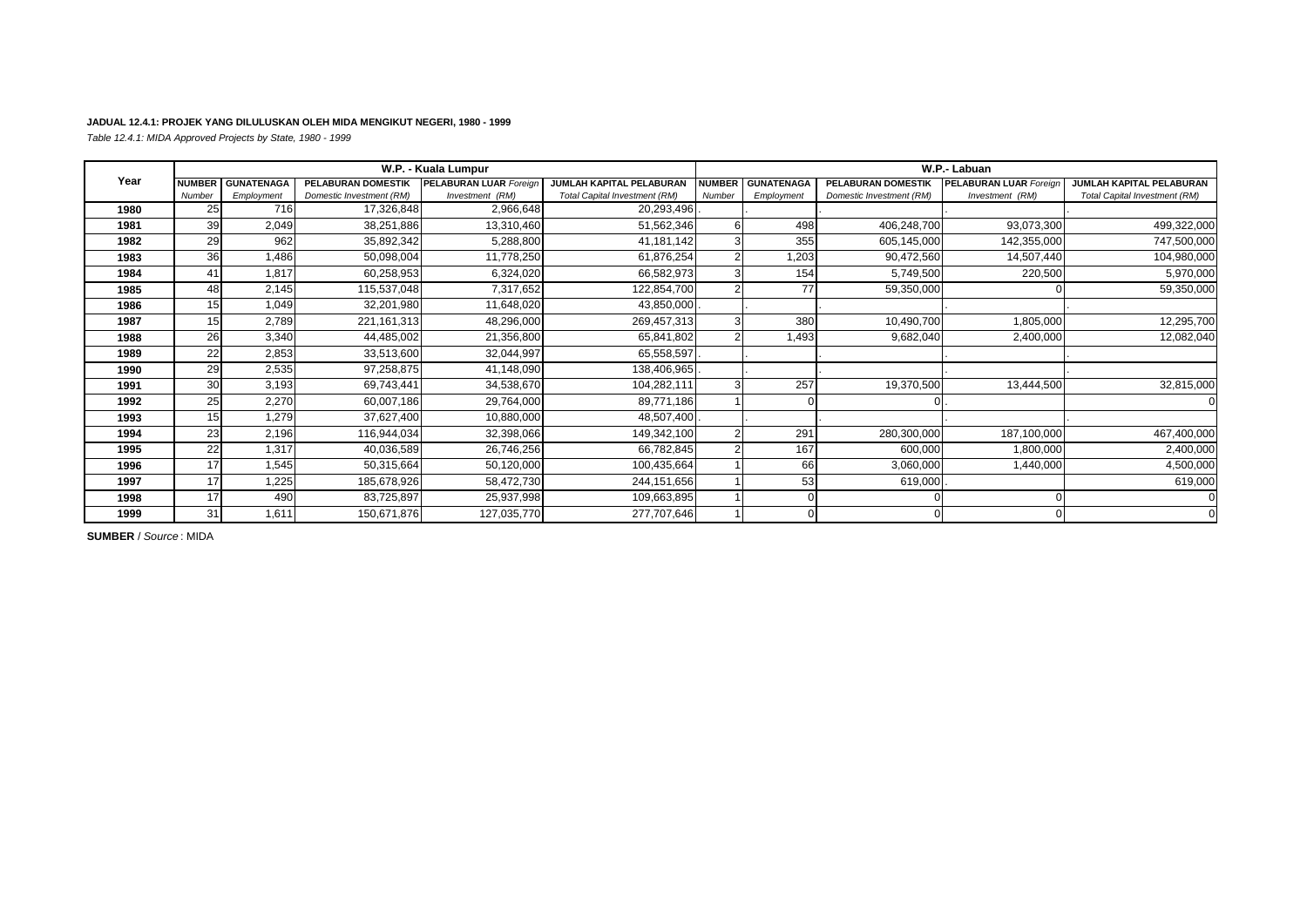## **JADUAL 12.4.1: PROJEK YANG DILULUSKAN OLEH MIDA MENGIKUT NEGERI, 1980 - 1999**

*Table 12.4.1: MIDA Approved Projects by State, 1980 - 1999*

|      |               |                   |                          | W.P. - Kuala Lumpur           |                                      |               |                   |                           | W.P.- Labuan                  |                               |
|------|---------------|-------------------|--------------------------|-------------------------------|--------------------------------------|---------------|-------------------|---------------------------|-------------------------------|-------------------------------|
| Year | <b>NUMBER</b> | <b>GUNATENAGA</b> | PELABURAN DOMESTIK       | <b>PELABURAN LUAR Foreign</b> | <b>JUMLAH KAPITAL PELABURAN</b>      | <b>NUMBER</b> | <b>GUNATENAGA</b> | <b>PELABURAN DOMESTIK</b> | <b>PELABURAN LUAR Foreign</b> | JUMLAH KAPITAL PELABURAN      |
|      | Number        | Employment        | Domestic Investment (RM) | Investment (RM)               | <b>Total Capital Investment (RM)</b> | Number        | Employment        | Domestic Investment (RM)  | Investment (RM)               | Total Capital Investment (RM) |
| 1980 | 25            | 716               | 17,326,848               | 2,966,648                     | 20,293,496                           |               |                   |                           |                               |                               |
| 1981 | 39            | 2,049             | 38,251,886               | 13,310,460                    | 51,562,346                           |               | 498               | 406,248,700               | 93,073,300                    | 499,322,000                   |
| 1982 | 29            | 962               | 35,892,342               | 5,288,800                     | 41,181,142                           |               | 355               | 605,145,000               | 142,355,000                   | 747,500,000                   |
| 1983 | 36            | .486              | 50,098,004               | 11,778,250                    | 61,876,254                           |               | 1,203             | 90,472,560                | 14,507,440                    | 104,980,000                   |
| 1984 | 41            | 1,817             | 60,258,953               | 6,324,020                     | 66,582,973                           |               | 154               | 5,749,500                 | 220,500                       | 5,970,000                     |
| 1985 | 48            | 2,145             | 115,537,048              | 7,317,652                     | 122,854,700                          |               | 77                | 59,350,000                |                               | 59,350,000                    |
| 1986 | 15            | 1,049             | 32,201,980               | 11,648,020                    | 43,850,000                           |               |                   |                           |                               |                               |
| 1987 | 15            | 2,789             | 221, 161, 313            | 48,296,000                    | 269,457,313                          |               | 380               | 10,490,700                | 1,805,000                     | 12,295,700                    |
| 1988 | 26            | 3,340             | 44,485,002               | 21,356,800                    | 65,841,802                           |               | 1,493             | 9,682,040                 | 2,400,000                     | 12,082,040                    |
| 1989 | 22            | 2,853             | 33,513,600               | 32,044,997                    | 65,558,597                           |               |                   |                           |                               |                               |
| 1990 | 29            | 2,535             | 97,258,875               | 41,148,090                    | 138,406,965                          |               |                   |                           |                               |                               |
| 1991 | 30            | 3,193             | 69,743,441               | 34,538,670                    | 104,282,111                          |               | 257               | 19,370,500                | 13,444,500                    | 32,815,000                    |
| 1992 | 25            | 2,270             | 60,007,186               | 29,764,000                    | 89,771,186                           |               |                   |                           |                               |                               |
| 1993 | 15            | 1,279             | 37,627,400               | 10,880,000                    | 48,507,400                           |               |                   |                           |                               |                               |
| 1994 | 23            | 2,196             | 116,944,034              | 32,398,066                    | 149,342,100                          |               | 291               | 280,300,000               | 187,100,000                   | 467,400,000                   |
| 1995 | 22            | 1,317             | 40,036,589               | 26,746,256                    | 66,782,845                           |               | 167               | 600,000                   | 1,800,000                     | 2,400,000                     |
| 1996 | 17            | 1,545             | 50,315,664               | 50,120,000                    | 100,435,664                          |               | 66                | 3,060,000                 | 1,440,000                     | 4,500,000                     |
| 1997 | 17            | 1,225             | 185,678,926              | 58,472,730                    | 244,151,656                          |               | 53                | 619,000                   |                               | 619,000                       |
| 1998 | 17            | 490               | 83,725,897               | 25,937,998                    | 109,663,895                          |               |                   |                           |                               |                               |
| 1999 | 31            | 1,611             | 150,671,876              | 127,035,770                   | 277,707,646                          |               |                   | $\cap$                    |                               |                               |

**SUMBER** / *Source* : MIDA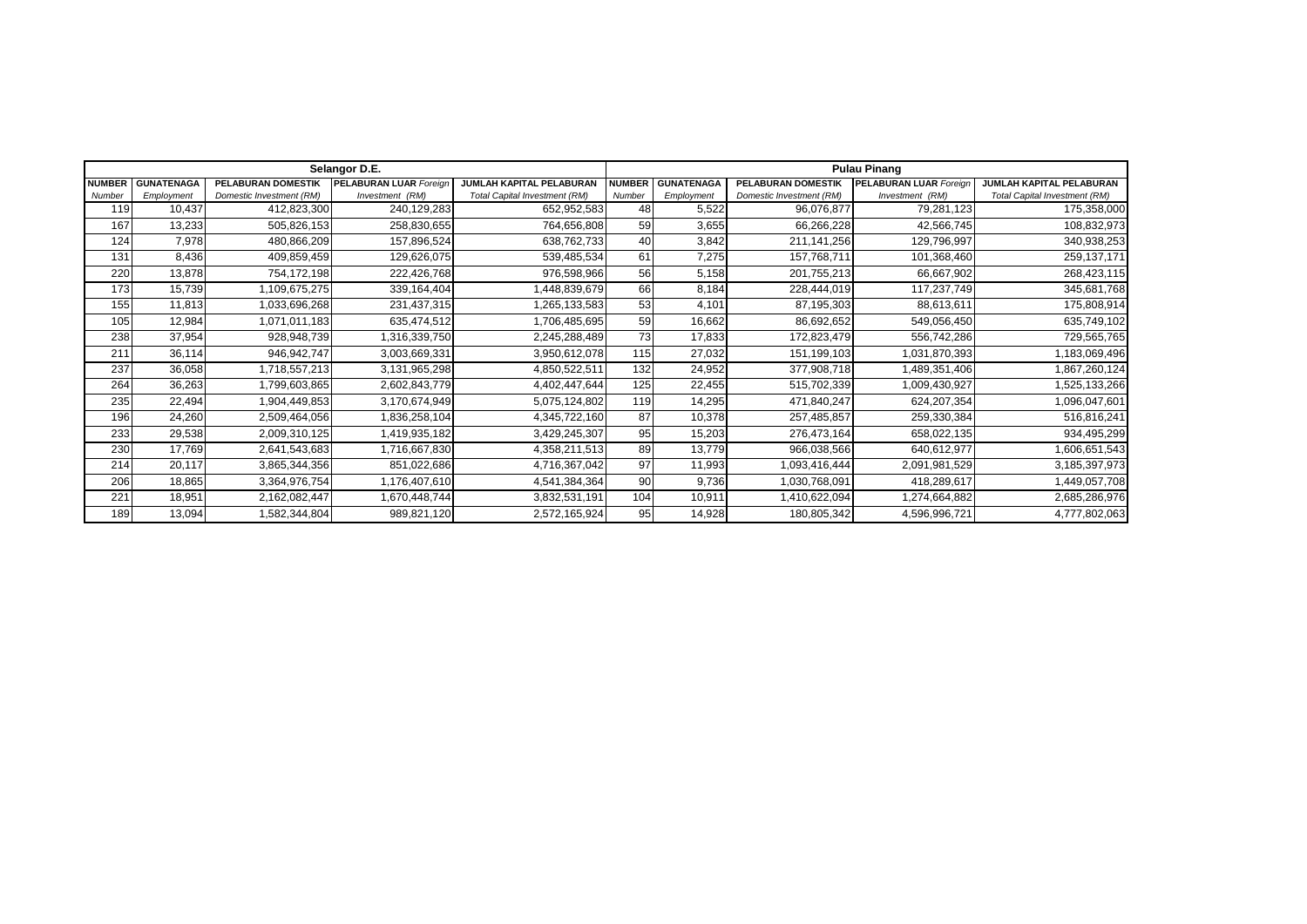|               |                   |                           | Selangor D.E.                 |                                      | <b>Pulau Pinang</b> |                   |                           |                        |                               |  |
|---------------|-------------------|---------------------------|-------------------------------|--------------------------------------|---------------------|-------------------|---------------------------|------------------------|-------------------------------|--|
| <b>NUMBER</b> | <b>GUNATENAGA</b> | <b>PELABURAN DOMESTIK</b> | <b>PELABURAN LUAR Foreign</b> | JUMLAH KAPITAL PELABURAN             | <b>NUMBER</b>       | <b>GUNATENAGA</b> | <b>PELABURAN DOMESTIK</b> | PELABURAN LUAR Foreign | JUMLAH KAPITAL PELABURAN      |  |
| Number        | Employment        | Domestic Investment (RM)  | Investment (RM)               | <b>Total Capital Investment (RM)</b> | Number              | Employment        | Domestic Investment (RM)  | Investment (RM)        | Total Capital Investment (RM) |  |
| 119           | 10,437            | 412,823,300               | 240,129,283                   | 652,952,583                          | 48                  | 5,522             | 96,076,877                | 79,281,123             | 175,358,000                   |  |
| 167           | 13,233            | 505,826,153               | 258,830,655                   | 764,656,808                          | 59                  | 3,655             | 66,266,228                | 42,566,745             | 108,832,973                   |  |
| 124           | 7,978             | 480,866,209               | 157,896,524                   | 638,762,733                          | 40                  | 3,842             | 211,141,256               | 129,796,997            | 340,938,253                   |  |
| 131           | 8,436             | 409,859,459               | 129,626,075                   | 539,485,534                          | 61                  | 7,275             | 157,768,711               | 101,368,460            | 259, 137, 171                 |  |
| 220           | 13,878            | 754,172,198               | 222,426,768                   | 976,598,966                          | 56                  | 5,158             | 201,755,213               | 66,667,902             | 268,423,115                   |  |
| 173           | 15,739            | 1,109,675,275             | 339,164,404                   | 448,839,679                          | 66                  | 8,184             | 228,444,019               | 117,237,749            | 345,681,768                   |  |
| 155           | 11,813            | 1,033,696,268             | 231,437,315                   | 1,265,133,583                        | 53                  | 4,101             | 87,195,303                | 88,613,611             | 175,808,914                   |  |
| 105           | 12,984            | 1,071,011,183             | 635,474,512                   | 1,706,485,695                        | 59                  | 16,662            | 86,692,652                | 549,056,450            | 635,749,102                   |  |
| 238           | 37,954            | 928,948,739               | 1,316,339,750                 | 2,245,288,489                        | 73                  | 17,833            | 172,823,479               | 556,742,286            | 729,565,765                   |  |
| 211           | 36,114            | 946,942,747               | 3,003,669,331                 | 3,950,612,078                        | 115                 | 27,032            | 151,199,103               | 1,031,870,393          | 1,183,069,496                 |  |
| 237           | 36,058            | 1,718,557,213             | 3,131,965,298                 | 4,850,522,511                        | 132                 | 24,952            | 377,908,718               | 1,489,351,406          | 1,867,260,124                 |  |
| 264           | 36,263            | 1,799,603,865             | 2,602,843,779                 | 4,402,447,644                        | 125                 | 22,455            | 515,702,339               | 1,009,430,927          | 1,525,133,266                 |  |
| 235           | 22,494            | 1,904,449,853             | 3,170,674,949                 | 5,075,124,802                        | 119                 | 14,295            | 471,840,247               | 624,207,354            | 1,096,047,601                 |  |
| 196           | 24,260            | 2,509,464,056             | 1,836,258,104                 | 4,345,722,160                        | 87                  | 10,378            | 257,485,857               | 259,330,384            | 516,816,241                   |  |
| 233           | 29,538            | 2,009,310,125             | 1,419,935,182                 | 3,429,245,307                        | 95                  | 15,203            | 276,473,164               | 658,022,135            | 934,495,299                   |  |
| 230           | 17,769            | 2,641,543,683             | 1,716,667,830                 | 4,358,211,513                        | 89                  | 13,779            | 966,038,566               | 640,612,977            | 1,606,651,543                 |  |
| 214           | 20,117            | 3,865,344,356             | 851,022,686                   | 4,716,367,042                        | 97                  | 11,993            | 1,093,416,444             | 2,091,981,529          | 3,185,397,973                 |  |
| 206           | 18,865            | 3,364,976,754             | 1,176,407,610                 | 4,541,384,364                        | 90                  | 9,736             | 1,030,768,091             | 418,289,617            | 1,449,057,708                 |  |
| 221           | 18,951            | 2,162,082,447             | 1,670,448,744                 | 3,832,531,191                        | 104                 | 10,911            | 1,410,622,094             | 1,274,664,882          | 2,685,286,976                 |  |
| 189           | 13,094            | 1,582,344,804             | 989,821,120                   | 2,572,165,924                        | 95                  | 14,928            | 180,805,342               | 4,596,996,721          | 4,777,802,063                 |  |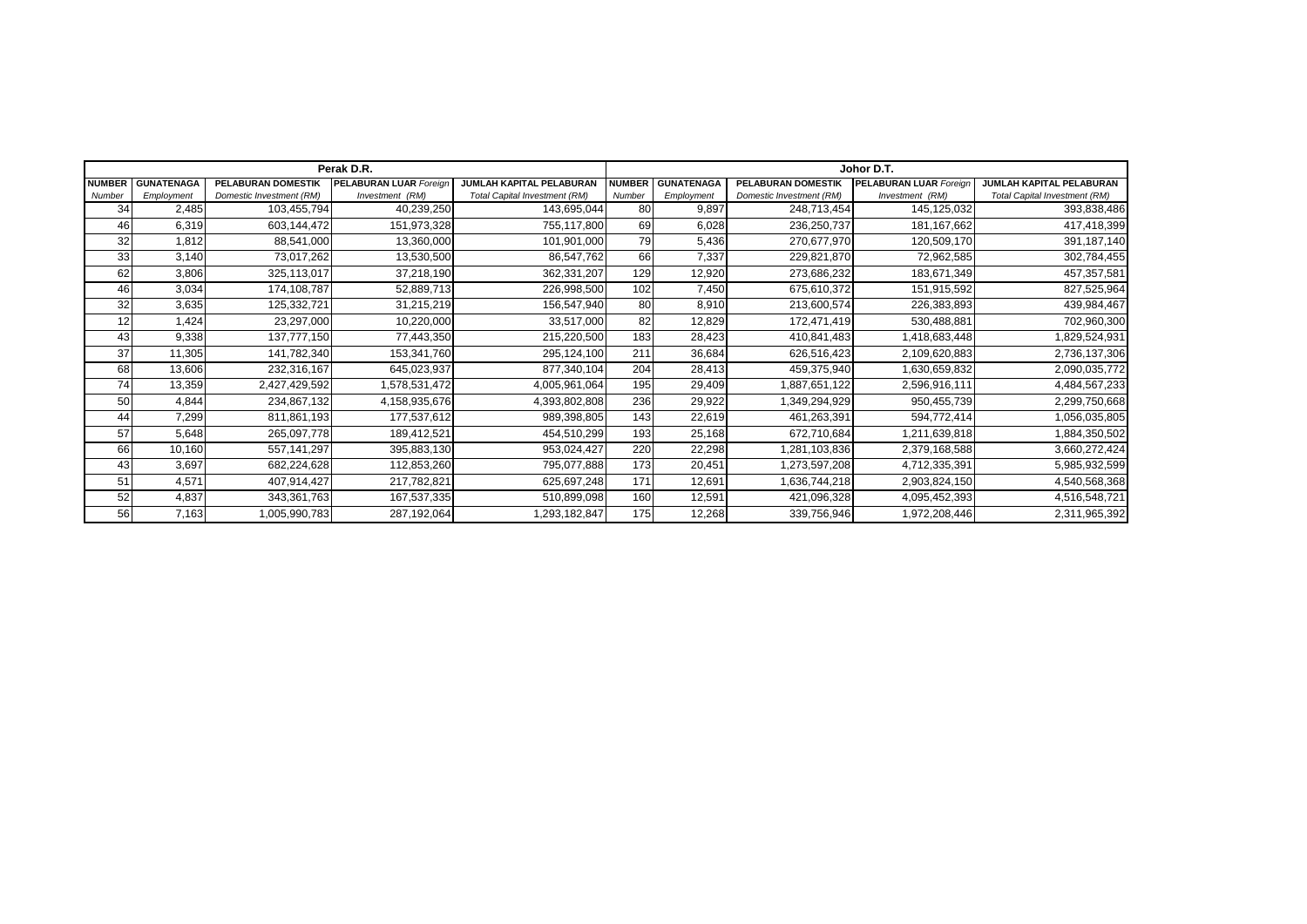|               |                   |                          | Perak D.R.                    |                               | Johor D.T.    |                   |                          |                               |                                      |  |
|---------------|-------------------|--------------------------|-------------------------------|-------------------------------|---------------|-------------------|--------------------------|-------------------------------|--------------------------------------|--|
| <b>NUMBER</b> | <b>GUNATENAGA</b> | PELABURAN DOMESTIK       | <b>PELABURAN LUAR Foreign</b> | JUMLAH KAPITAL PELABURAN      | <b>NUMBER</b> | <b>GUNATENAGA</b> | PELABURAN DOMESTIK       | <b>PELABURAN LUAR Foreign</b> | JUMLAH KAPITAL PELABURAN             |  |
| Number        | Employment        | Domestic Investment (RM) | Investment (RM)               | Total Capital Investment (RM) | Number        | Employment        | Domestic Investment (RM) | Investment (RM)               | <b>Total Capital Investment (RM)</b> |  |
| 34            | 2,485             | 103,455,794              | 40,239,250                    | 143,695,044                   | 80            | 9,897             | 248,713,454              | 145,125,032                   | 393,838,486                          |  |
| 46            | 6,319             | 603,144,472              | 151,973,328                   | 755,117,800                   | 69            | 6,028             | 236,250,737              | 181, 167, 662                 | 417,418,399                          |  |
| 32            | 1,812             | 88,541,000               | 13,360,000                    | 101,901,000                   | 79            | 5,436             | 270,677,970              | 120,509,170                   | 391,187,140                          |  |
| 33            | 3,140             | 73,017,262               | 13,530,500                    | 86,547,762                    | 66            | 7,337             | 229,821,870              | 72,962,585                    | 302,784,455                          |  |
| 62            | 3,806             | 325,113,017              | 37,218,190                    | 362,331,207                   | 129           | 12,920            | 273,686,232              | 183,671,349                   | 457,357,581                          |  |
| 46            | 3,034             | 174,108,787              | 52,889,713                    | 226,998,500                   | 102           | 7,450             | 675,610,372              | 151,915,592                   | 827,525,964                          |  |
| 32            | 3,635             | 125,332,721              | 31,215,219                    | 156,547,940                   | 80            | 8,910             | 213,600,574              | 226,383,893                   | 439,984,467                          |  |
| 12            | 1,424             | 23,297,000               | 10,220,000                    | 33,517,000                    | 82            | 12,829            | 172,471,419              | 530,488,881                   | 702,960,300                          |  |
| 43            | 9,338             | 137,777,150              | 77,443,350                    | 215,220,500                   | 183           | 28,423            | 410,841,483              | 1,418,683,448                 | 1,829,524,931                        |  |
| 37            | 11,305            | 141,782,340              | 153,341,760                   | 295,124,100                   | 211           | 36,684            | 626,516,423              | 2,109,620,883                 | 2,736,137,306                        |  |
| 68            | 13,606            | 232,316,167              | 645,023,937                   | 877,340,104                   | 204           | 28,413            | 459,375,940              | 1,630,659,832                 | 2,090,035,772                        |  |
| 74            | 13,359            | 2,427,429,592            | 1,578,531,472                 | 4,005,961,064                 | 195           | 29,409            | 1,887,651,122            | 2,596,916,111                 | 4,484,567,233                        |  |
| 50            | 4,844             | 234,867,132              | 4,158,935,676                 | 4,393,802,808                 | 236           | 29,922            | 1,349,294,929            | 950,455,739                   | 2,299,750,668                        |  |
| 44            | 7,299             | 811,861,193              | 177,537,612                   | 989,398,805                   | 143           | 22,619            | 461,263,391              | 594,772,414                   | 1,056,035,805                        |  |
| 57            | 5,648             | 265,097,778              | 189,412,521                   | 454,510,299                   | 193           | 25,168            | 672,710,684              | 1,211,639,818                 | 1,884,350,502                        |  |
| 66            | 10,160            | 557,141,297              | 395,883,130                   | 953,024,427                   | 220           | 22,298            | 1,281,103,836            | 2,379,168,588                 | 3,660,272,424                        |  |
| 43            | 3,697             | 682,224,628              | 112,853,260                   | 795,077,888                   | 173           | 20,451            | 1,273,597,208            | 4,712,335,391                 | 5,985,932,599                        |  |
| 51            | 4,571             | 407,914,427              | 217,782,821                   | 625,697,248                   | 171           | 12,691            | 1,636,744,218            | 2,903,824,150                 | 4,540,568,368                        |  |
| 52            | 4,837             | 343,361,763              | 167,537,335                   | 510,899,098                   | 160           | 12,591            | 421,096,328              | 4,095,452,393                 | 4,516,548,721                        |  |
| 56            | 7,163             | 1,005,990,783            | 287,192,064                   | ,293,182,847                  | 175           | 12,268            | 339,756,946              | 1,972,208,446                 | 2,311,965,392                        |  |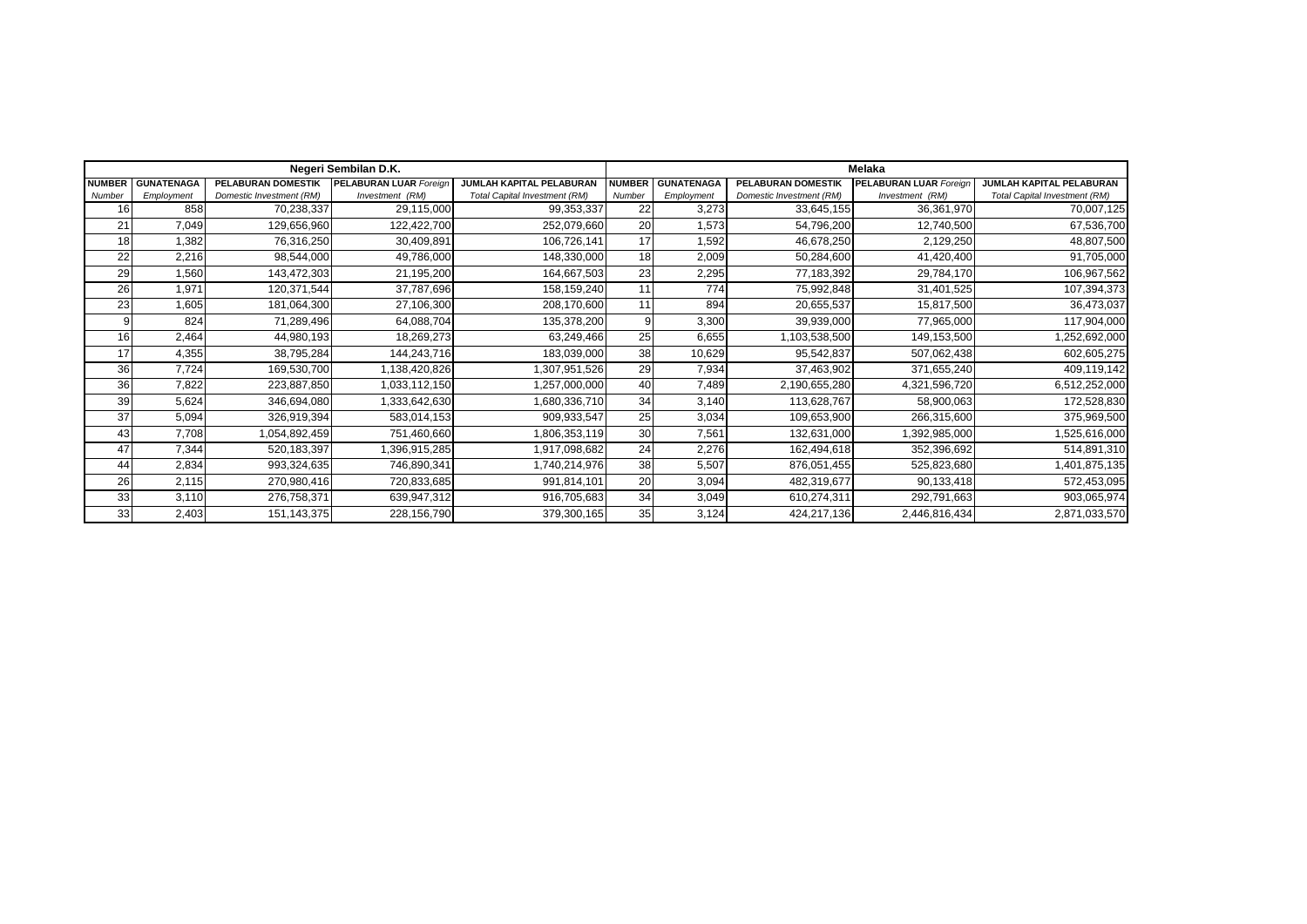|               |                   |                           | Negeri Sembilan D.K.          |                                      | <b>Melaka</b> |                   |                          |                               |                                      |  |  |
|---------------|-------------------|---------------------------|-------------------------------|--------------------------------------|---------------|-------------------|--------------------------|-------------------------------|--------------------------------------|--|--|
| <b>NUMBER</b> | <b>GUNATENAGA</b> | <b>PELABURAN DOMESTIK</b> | <b>PELABURAN LUAR Foreign</b> | JUMLAH KAPITAL PELABURAN             | <b>NUMBER</b> | <b>GUNATENAGA</b> | PELABURAN DOMESTIK       | <b>PELABURAN LUAR Foreign</b> | JUMLAH KAPITAL PELABURAN             |  |  |
| Number        | Employment        | Domestic Investment (RM)  | Investment (RM)               | <b>Total Capital Investment (RM)</b> | Number        | Employment        | Domestic Investment (RM) | Investment (RM)               | <b>Total Capital Investment (RM)</b> |  |  |
| 16            | 858               | 70,238,337                | 29,115,000                    | 99,353,337                           | 22            | 3,273             | 33,645,155               | 36,361,970                    | 70,007,125                           |  |  |
| 21            | 7,049             | 129,656,960               | 122,422,700                   | 252,079,660                          | 20            | 1,573             | 54,796,200               | 12,740,500                    | 67,536,700                           |  |  |
| 18            | 1,382             | 76,316,250                | 30,409,891                    | 106,726,141                          | 17            | 1,592             | 46,678,250               | 2,129,250                     | 48,807,500                           |  |  |
| 22            | 2,216             | 98,544,000                | 49,786,000                    | 148,330,000                          | 18            | 2,009             | 50,284,600               | 41,420,400                    | 91,705,000                           |  |  |
| 29            | 1,560             | 143,472,303               | 21,195,200                    | 164,667,503                          | 23            | 2,295             | 77,183,392               | 29,784,170                    | 106,967,562                          |  |  |
| 26            | 1,971             | 120,371,544               | 37,787,696                    | 158,159,240                          | 11            | 774               | 75,992,848               | 31,401,525                    | 107,394,373                          |  |  |
| 23            | 1,605             | 181,064,300               | 27,106,300                    | 208,170,600                          | 11            | 894               | 20,655,537               | 15,817,500                    | 36,473,037                           |  |  |
|               | 824               | 71,289,496                | 64,088,704                    | 135,378,200                          |               | 3,300             | 39,939,000               | 77,965,000                    | 117,904,000                          |  |  |
| 16            | 2,464             | 44,980,193                | 18,269,273                    | 63,249,466                           | 25            | 6,655             | 1,103,538,500            | 149,153,500                   | 1,252,692,000                        |  |  |
| 17            | 4,355             | 38,795,284                | 144,243,716                   | 183,039,000                          | 38            | 10,629            | 95,542,837               | 507,062,438                   | 602,605,275                          |  |  |
| 36            | 7,724             | 169,530,700               | ,138,420,826                  | ,307,951,526                         | 29            | 7,934             | 37,463,902               | 371,655,240                   | 409,119,142                          |  |  |
| 36            | 7,822             | 223,887,850               | 1,033,112,150                 | ,257,000,000                         | 40            | 7,489             | 2,190,655,280            | 4,321,596,720                 | 6,512,252,000                        |  |  |
| 39            | 5,624             | 346,694,080               | 1,333,642,630                 | 1,680,336,710                        | 34            | 3,140             | 113,628,767              | 58,900,063                    | 172,528,830                          |  |  |
| 37            | 5,094             | 326,919,394               | 583,014,153                   | 909,933,547                          | 25            | 3,034             | 109,653,900              | 266,315,600                   | 375,969,500                          |  |  |
| 43            | 7,708             | 1,054,892,459             | 751,460,660                   | 1,806,353,119                        | 30            | 7,561             | 132,631,000              | 1,392,985,000                 | 1,525,616,000                        |  |  |
| 47            | 7,344             | 520,183,397               | 1,396,915,285                 | 1,917,098,682                        | 24            | 2,276             | 162,494,618              | 352,396,692                   | 514,891,310                          |  |  |
| 44            | 2,834             | 993,324,635               | 746,890,341                   | 1,740,214,976                        | 38            | 5,507             | 876,051,455              | 525,823,680                   | 1,401,875,135                        |  |  |
| 26            | 2,115             | 270,980,416               | 720,833,685                   | 991,814,101                          | 20            | 3,094             | 482,319,677              | 90,133,418                    | 572,453,095                          |  |  |
| 33            | 3,110             | 276,758,371               | 639,947,312                   | 916,705,683                          | 34            | 3,049             | 610,274,311              | 292,791,663                   | 903,065,974                          |  |  |
| 33            | 2,403             | 151,143,375               | 228,156,790                   | 379,300,165                          | 35            | 3,124             | 424,217,136              | 2,446,816,434                 | 2,871,033,570                        |  |  |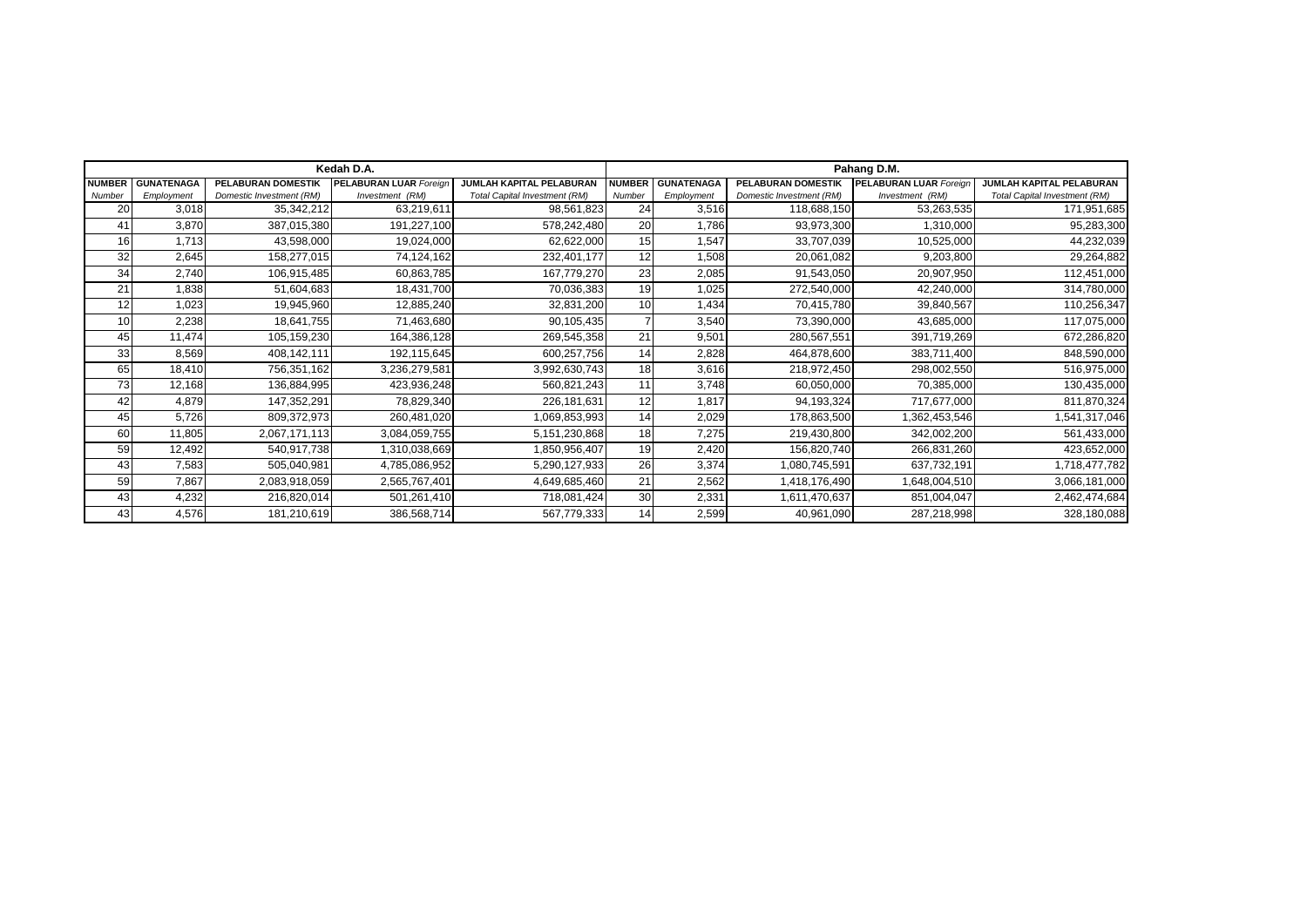|               |                   |                           | Kedah D.A.             |                                      | Pahang D.M.   |                   |                          |                               |                                      |  |
|---------------|-------------------|---------------------------|------------------------|--------------------------------------|---------------|-------------------|--------------------------|-------------------------------|--------------------------------------|--|
| <b>NUMBER</b> | <b>GUNATENAGA</b> | <b>PELABURAN DOMESTIK</b> | PELABURAN LUAR Foreign | JUMLAH KAPITAL PELABURAN             | <b>NUMBER</b> | <b>GUNATENAGA</b> | PELABURAN DOMESTIK       | <b>PELABURAN LUAR Foreign</b> | JUMLAH KAPITAL PELABURAN             |  |
| Number        | Employment        | Domestic Investment (RM)  | Investment (RM)        | <b>Total Capital Investment (RM)</b> | Number        | Employment        | Domestic Investment (RM) | Investment (RM)               | <b>Total Capital Investment (RM)</b> |  |
| 20            | 3,018             | 35,342,212                | 63,219,611             | 98,561,823                           | 24            | 3,516             | 118,688,150              | 53,263,535                    | 171,951,685                          |  |
| 41            | 3,870             | 387,015,380               | 191,227,100            | 578,242,480                          | 20            | 1,786             | 93,973,300               | 1,310,000                     | 95,283,300                           |  |
| 16            | 1,713             | 43,598,000                | 19,024,000             | 62,622,000                           | 15            | 1,547             | 33,707,039               | 10,525,000                    | 44,232,039                           |  |
| 32            | 2,645             | 158,277,015               | 74,124,162             | 232,401,177                          | 12            | 1,508             | 20,061,082               | 9,203,800                     | 29,264,882                           |  |
| 34            | 2,740             | 106,915,485               | 60,863,785             | 167,779,270                          | 23            | 2,085             | 91,543,050               | 20,907,950                    | 112,451,000                          |  |
| 21            | 1,838             | 51,604,683                | 18,431,700             | 70,036,383                           | 19            | 1,025             | 272,540,000              | 42,240,000                    | 314,780,000                          |  |
|               | 1,023             | 19,945,960                | 12,885,240             | 32,831,200                           | 10            | 1,434             | 70,415,780               | 39,840,567                    | 110,256,347                          |  |
| 10            | 2,238             | 18,641,755                | 71,463,680             | 90,105,435                           |               | 3,540             | 73,390,000               | 43,685,000                    | 117,075,000                          |  |
| 45            | 11,474            | 105,159,230               | 164,386,128            | 269,545,358                          | 21            | 9,501             | 280,567,551              | 391,719,269                   | 672,286,820                          |  |
| 33            | 8,569             | 408,142,111               | 192,115,645            | 600,257,756                          | 14            | 2,828             | 464,878,600              | 383,711,400                   | 848,590,000                          |  |
| 65            | 18,410            | 756,351,162               | 3,236,279,581          | 3,992,630,743                        | 18            | 3,616             | 218,972,450              | 298,002,550                   | 516,975,000                          |  |
| 73            | 12,168            | 136,884,995               | 423,936,248            | 560,821,243                          | 11            | 3,748             | 60,050,000               | 70,385,000                    | 130,435,000                          |  |
| 42            | 4,879             | 147,352,291               | 78,829,340             | 226,181,631                          | 12            | 1,817             | 94,193,324               | 717,677,000                   | 811,870,324                          |  |
| 45            | 5,726             | 809,372,973               | 260,481,020            | 1,069,853,993                        | 14            | 2,029             | 178,863,500              | 1,362,453,546                 | 1,541,317,046                        |  |
| 60            | 11,805            | 2,067,171,113             | 3,084,059,755          | 5,151,230,868                        | 18            | 7,275             | 219,430,800              | 342,002,200                   | 561,433,000                          |  |
| 59            | 12,492            | 540,917,738               | 1,310,038,669          | 1,850,956,407                        | 19            | 2,420             | 156,820,740              | 266,831,260                   | 423,652,000                          |  |
| 43            | 7,583             | 505,040,981               | 4,785,086,952          | 5,290,127,933                        | 26            | 3,374             | 1,080,745,591            | 637,732,191                   | 1,718,477,782                        |  |
| 59            | 7,867             | 2,083,918,059             | 2,565,767,401          | 4,649,685,460                        | 21            | 2,562             | 1,418,176,490            | 1,648,004,510                 | 3,066,181,000                        |  |
| 43            | 4,232             | 216,820,014               | 501,261,410            | 718,081,424                          | 30            | 2,331             | 1,611,470,637            | 851,004,047                   | 2,462,474,684                        |  |
| 43            | 4,576             | 181,210,619               | 386,568,714            | 567,779,333                          | 14            | 2,599             | 40,961,090               | 287,218,998                   | 328,180,088                          |  |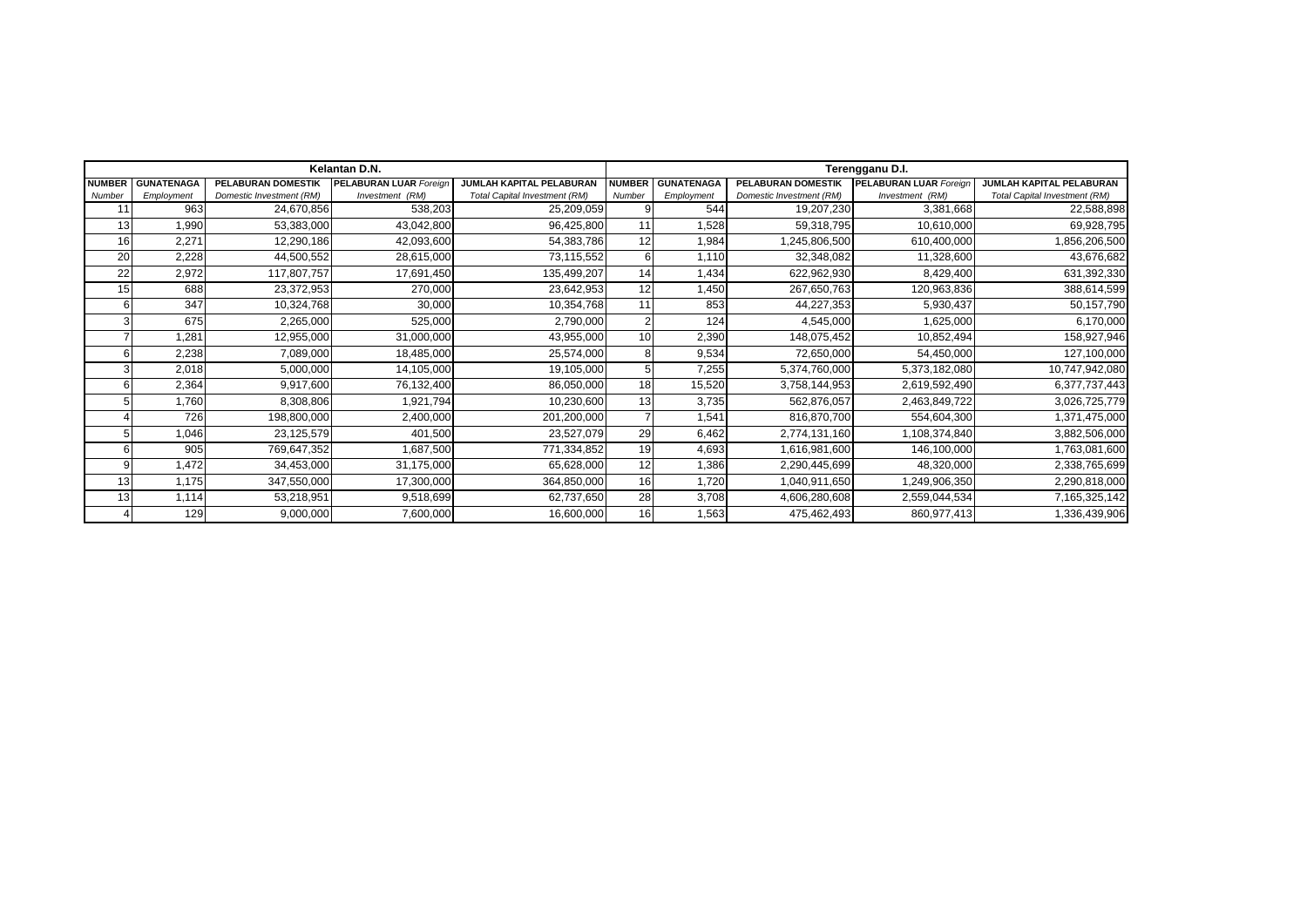|               |                   |                           | Kelantan D.N.                 |                                      | Terengganu D.I. |                   |                          |                               |                                      |  |
|---------------|-------------------|---------------------------|-------------------------------|--------------------------------------|-----------------|-------------------|--------------------------|-------------------------------|--------------------------------------|--|
| <b>NUMBER</b> | <b>GUNATENAGA</b> | <b>PELABURAN DOMESTIK</b> | <b>PELABURAN LUAR Foreign</b> | <b>JUMLAH KAPITAL PELABURAN</b>      | <b>NUMBER</b>   | <b>GUNATENAGA</b> | PELABURAN DOMESTIK       | <b>PELABURAN LUAR Foreign</b> | JUMLAH KAPITAL PELABURAN             |  |
| Number        | Employment        | Domestic Investment (RM)  | Investment (RM)               | <b>Total Capital Investment (RM)</b> | Number          | Employment        | Domestic Investment (RM) | Investment (RM)               | <b>Total Capital Investment (RM)</b> |  |
|               | 963               | 24,670,856                | 538,203                       | 25,209,059                           |                 | 544               | 19,207,230               | 3,381,668                     | 22,588,898                           |  |
| 13            | 1,990             | 53,383,000                | 43,042,800                    | 96,425,800                           | 11              | ,528              | 59,318,795               | 10,610,000                    | 69,928,795                           |  |
| 16            | 2,271             | 12,290,186                | 42,093,600                    | 54,383,786                           | 12              | 1,984             | 1,245,806,500            | 610,400,000                   | 1,856,206,500                        |  |
| 20            | 2,228             | 44,500,552                | 28,615,000                    | 73,115,552                           | 6               | 1,110             | 32,348,082               | 11,328,600                    | 43,676,682                           |  |
| 22            | 2,972             | 117,807,757               | 17,691,450                    | 135,499,207                          | 14              | 1,434             | 622,962,930              | 8,429,400                     | 631,392,330                          |  |
| 15            | 688               | 23,372,953                | 270,000                       | 23,642,953                           | 12              | 1,450             | 267,650,763              | 120,963,836                   | 388,614,599                          |  |
|               | 347               | 10,324,768                | 30,000                        | 10,354,768                           | 11              | 853               | 44,227,353               | 5,930,437                     | 50,157,790                           |  |
|               | 675               | 2,265,000                 | 525,000                       | 2,790,000                            |                 | 124               | 4,545,000                | 1,625,000                     | 6,170,000                            |  |
|               | 1,281             | 12,955,000                | 31,000,000                    | 43,955,000                           | 10              | 2,390             | 148,075,452              | 10,852,494                    | 158,927,946                          |  |
|               | 2,238             | 7,089,000                 | 18,485,000                    | 25,574,000                           | 8               | 9,534             | 72,650,000               | 54,450,000                    | 127,100,000                          |  |
|               | 2,018             | 5,000,000                 | 14,105,000                    | 19,105,000                           |                 | 7,255             | 5,374,760,000            | 5,373,182,080                 | 10,747,942,080                       |  |
|               | 2,364             | 9,917,600                 | 76,132,400                    | 86,050,000                           | 18              | 15,520            | 3,758,144,953            | 2,619,592,490                 | 6,377,737,443                        |  |
|               | 1,760             | 8,308,806                 | 1,921,794                     | 10,230,600                           | 13              | 3,735             | 562,876,057              | 2,463,849,722                 | 3,026,725,779                        |  |
|               | 726               | 198,800,000               | 2,400,000                     | 201,200,000                          |                 | 1,541             | 816,870,700              | 554,604,300                   | 1,371,475,000                        |  |
|               | 1,046             | 23,125,579                | 401,500                       | 23,527,079                           | 29              | 6,462             | 2,774,131,160            | 1,108,374,840                 | 3,882,506,000                        |  |
|               | 905               | 769,647,352               | 1,687,500                     | 771,334,852                          | 19              | 4,693             | 1,616,981,600            | 146,100,000                   | 1,763,081,600                        |  |
|               | 1,472             | 34,453,000                | 31,175,000                    | 65,628,000                           | 12              | 1,386             | 2,290,445,699            | 48,320,000                    | 2,338,765,699                        |  |
| 13            | 1,175             | 347,550,000               | 17,300,000                    | 364,850,000                          | 16              | 1,720             | 1,040,911,650            | 1,249,906,350                 | 2,290,818,000                        |  |
| 13            | 1,114             | 53,218,951                | 9,518,699                     | 62,737,650                           | 28              | 3,708             | 4,606,280,608            | 2,559,044,534                 | 7,165,325,142                        |  |
|               | 129               | 9,000,000                 | 7,600,000                     | 16,600,000                           | 16 <sup>1</sup> | 1,563             | 475,462,493              | 860,977,413                   | 1,336,439,906                        |  |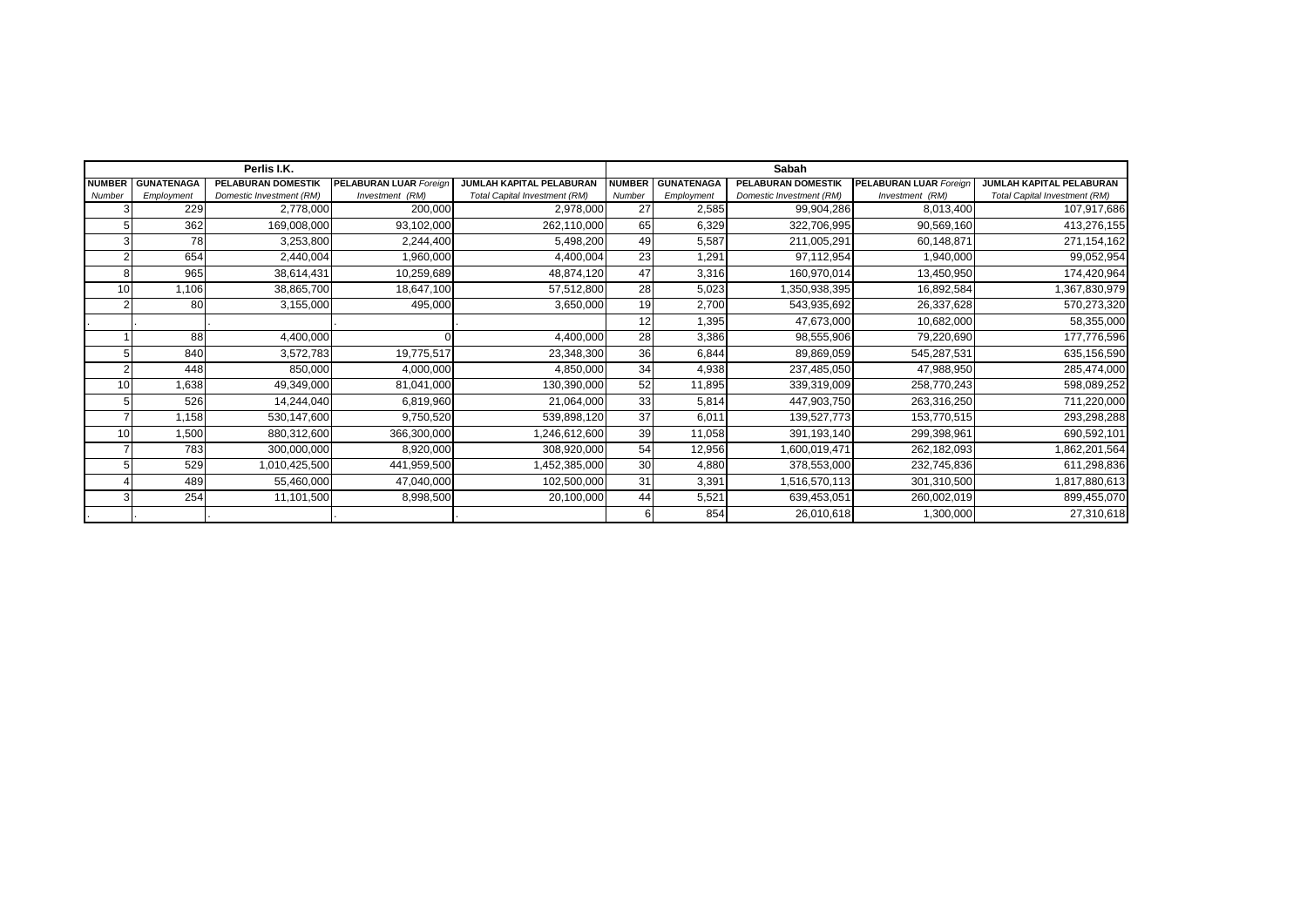|               |                   | Perlis I.K.               |                               |                               | Sabah         |                   |                           |                               |                                      |  |
|---------------|-------------------|---------------------------|-------------------------------|-------------------------------|---------------|-------------------|---------------------------|-------------------------------|--------------------------------------|--|
| <b>NUMBER</b> | <b>GUNATENAGA</b> | <b>PELABURAN DOMESTIK</b> | <b>PELABURAN LUAR Foreign</b> | JUMLAH KAPITAL PELABURAN      | <b>NUMBER</b> | <b>GUNATENAGA</b> | <b>PELABURAN DOMESTIK</b> | <b>PELABURAN LUAR Foreign</b> | JUMLAH KAPITAL PELABURAN             |  |
| Number        | Employment        | Domestic Investment (RM)  | Investment (RM)               | Total Capital Investment (RM) | Number        | Employment        | Domestic Investment (RM)  | Investment (RM)               | <b>Total Capital Investment (RM)</b> |  |
|               | 229               | 2,778,000                 | 200,000                       | 2,978,000                     | 27            | 2,585             | 99,904,286                | 8,013,400                     | 107,917,686                          |  |
| 5             | 362               | 169,008,000               | 93,102,000                    | 262,110,000                   | 65            | 6,329             | 322,706,995               | 90,569,160                    | 413,276,155                          |  |
|               | 78                | 3,253,800                 | 2,244,400                     | 5,498,200                     | 49            | 5,587             | 211,005,291               | 60,148,871                    | 271,154,162                          |  |
|               | 654               | 2,440,004                 | 1,960,000                     | 4,400,004                     | 23            | 1,291             | 97,112,954                | 1,940,000                     | 99,052,954                           |  |
| 8             | 965               | 38,614,431                | 10,259,689                    | 48,874,120                    | 47            | 3,316             | 160,970,014               | 13,450,950                    | 174,420,964                          |  |
| 10            | 1,106             | 38,865,700                | 18,647,100                    | 57,512,800                    | 28            | 5,023             | 1,350,938,395             | 16,892,584                    | 1,367,830,979                        |  |
|               | 80                | 3,155,000                 | 495,000                       | 3,650,000                     | 19            | 2,700             | 543,935,692               | 26,337,628                    | 570,273,320                          |  |
|               |                   |                           |                               |                               | 12            | 1,395             | 47,673,000                | 10,682,000                    | 58,355,000                           |  |
|               | 88                | 4,400,000                 | ŋ                             | 4,400,000                     | 28            | 3,386             | 98,555,906                | 79,220,690                    | 177,776,596                          |  |
| 5             | 840               | 3,572,783                 | 19,775,517                    | 23,348,300                    | 36            | 6,844             | 89,869,059                | 545,287,531                   | 635,156,590                          |  |
|               | 448               | 850,000                   | 4,000,000                     | 4,850,000                     | 34            | 4,938             | 237,485,050               | 47,988,950                    | 285,474,000                          |  |
| 10            | 1,638             | 49,349,000                | 81,041,000                    | 130,390,000                   | 52            | 11,895            | 339,319,009               | 258,770,243                   | 598,089,252                          |  |
| 5             | 526               | 14,244,040                | 6,819,960                     | 21,064,000                    | 33            | 5,814             | 447,903,750               | 263,316,250                   | 711,220,000                          |  |
|               | 1,158             | 530,147,600               | 9,750,520                     | 539,898,120                   | 37            | 6,011             | 139,527,773               | 153,770,515                   | 293,298,288                          |  |
| 10            | 1,500             | 880,312,600               | 366,300,000                   | 1,246,612,600                 | 39            | 11,058            | 391,193,140               | 299,398,961                   | 690,592,101                          |  |
|               | 783               | 300,000,000               | 8,920,000                     | 308,920,000                   | 54            | 12,956            | 1,600,019,471             | 262,182,093                   | 1,862,201,564                        |  |
|               | 529               | 1,010,425,500             | 441,959,500                   | 1,452,385,000                 | 30            | 4,880             | 378,553,000               | 232,745,836                   | 611,298,836                          |  |
|               | 489               | 55,460,000                | 47,040,000                    | 102,500,000                   | 31            | 3,391             | 1,516,570,113             | 301,310,500                   | 1,817,880,613                        |  |
|               | 254               | 11,101,500                | 8,998,500                     | 20,100,000                    | 44            | 5,521             | 639,453,051               | 260,002,019                   | 899,455,070                          |  |
|               |                   |                           |                               |                               |               | 854               | 26,010,618                | 1,300,000                     | 27,310,618                           |  |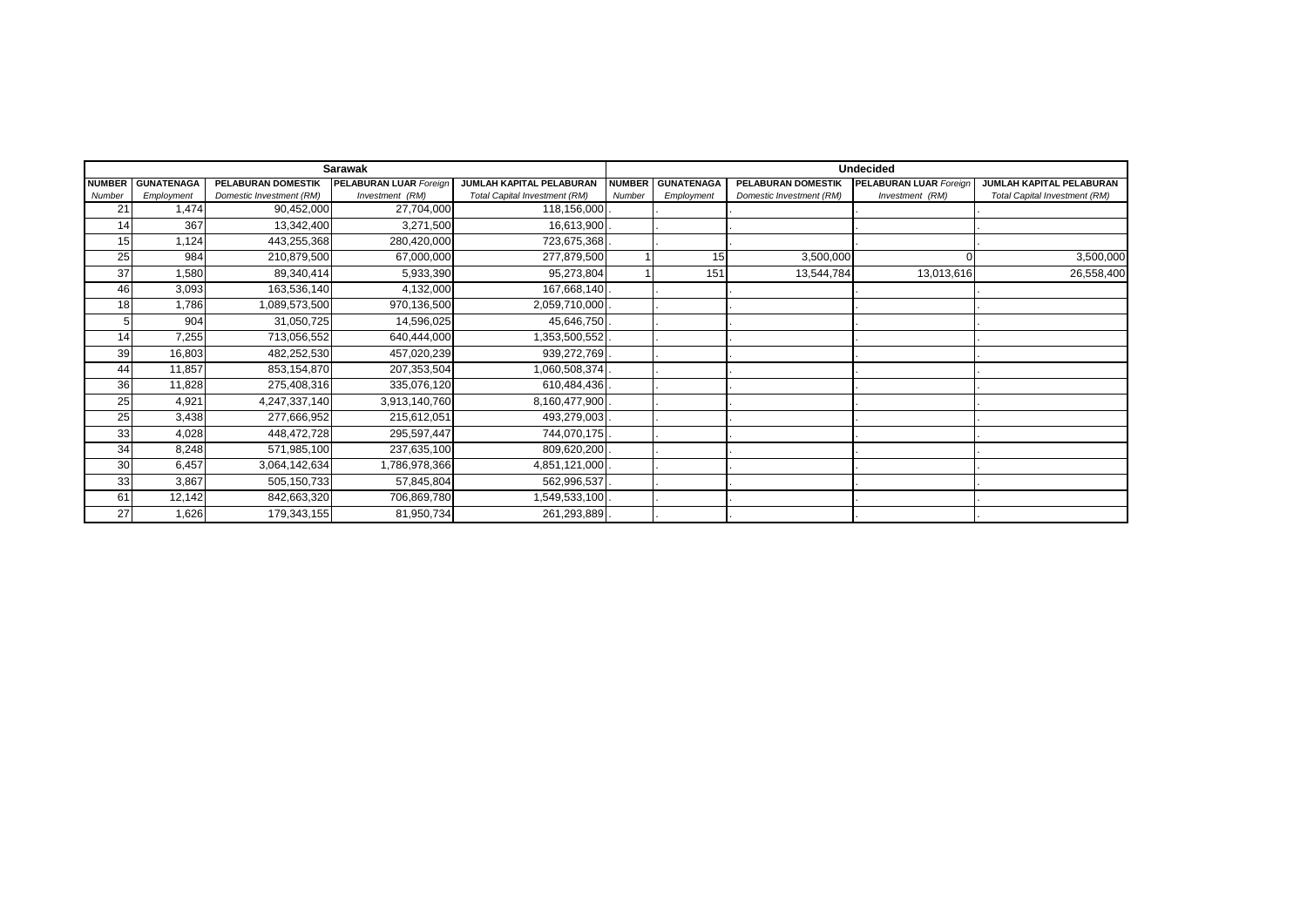|                |                   |                           | <b>Sarawak</b>                |                                      | <b>Undecided</b> |                   |                          |                               |                               |  |
|----------------|-------------------|---------------------------|-------------------------------|--------------------------------------|------------------|-------------------|--------------------------|-------------------------------|-------------------------------|--|
| <b>NUMBER</b>  | <b>GUNATENAGA</b> | <b>PELABURAN DOMESTIK</b> | <b>PELABURAN LUAR Foreign</b> | <b>JUMLAH KAPITAL PELABURAN</b>      | <b>NUMBER</b>    | <b>GUNATENAGA</b> | PELABURAN DOMESTIK       | <b>PELABURAN LUAR Foreign</b> | JUMLAH KAPITAL PELABURAN      |  |
| Number         | Employment        | Domestic Investment (RM)  | Investment (RM)               | <b>Total Capital Investment (RM)</b> | Number           | Employment        | Domestic Investment (RM) | Investment (RM)               | Total Capital Investment (RM) |  |
| 2 <sup>1</sup> | 1,474             | 90,452,000                | 27,704,000                    | 118,156,000                          |                  |                   |                          |                               |                               |  |
| 14             | 367               | 13,342,400                | 3,271,500                     | 16,613,900                           |                  |                   |                          |                               |                               |  |
| 15             | 1,124             | 443,255,368               | 280,420,000                   | 723,675,368                          |                  |                   |                          |                               |                               |  |
| 25             | 984               | 210,879,500               | 67,000,000                    | 277,879,500                          |                  | 15                | 3,500,000                |                               | 3,500,000                     |  |
| 37             | 1,580             | 89,340,414                | 5,933,390                     | 95,273,804                           |                  | 151               | 13,544,784               | 13,013,616                    | 26,558,400                    |  |
| 46             | 3,093             | 163,536,140               | 4,132,000                     | 167,668,140                          |                  |                   |                          |                               |                               |  |
| 18             | 1,786             | 1,089,573,500             | 970,136,500                   | 2,059,710,000                        |                  |                   |                          |                               |                               |  |
|                | 904               | 31,050,725                | 14,596,025                    | 45,646,750                           |                  |                   |                          |                               |                               |  |
| 14             | 7,255             | 713,056,552               | 640,444,000                   | ,353,500,552                         |                  |                   |                          |                               |                               |  |
| 39             | 16,803            | 482,252,530               | 457,020,239                   | 939,272,769                          |                  |                   |                          |                               |                               |  |
| 44             | 11,857            | 853,154,870               | 207,353,504                   | 1,060,508,374                        |                  |                   |                          |                               |                               |  |
| 36             | 11,828            | 275,408,316               | 335,076,120                   | 610,484,436                          |                  |                   |                          |                               |                               |  |
| 25             | 4,921             | 4,247,337,140             | 3,913,140,760                 | 8,160,477,900                        |                  |                   |                          |                               |                               |  |
| 25             | 3,438             | 277,666,952               | 215,612,051                   | 493,279,003                          |                  |                   |                          |                               |                               |  |
| 33             | 4,028             | 448,472,728               | 295,597,447                   | 744,070,175                          |                  |                   |                          |                               |                               |  |
| 34             | 8,248             | 571,985,100               | 237,635,100                   | 809,620,200                          |                  |                   |                          |                               |                               |  |
| 30             | 6,457             | 3,064,142,634             | 1,786,978,366                 | 4,851,121,000                        |                  |                   |                          |                               |                               |  |
| 33             | 3,867             | 505,150,733               | 57,845,804                    | 562,996,537                          |                  |                   |                          |                               |                               |  |
| 61             | 12,142            | 842,663,320               | 706,869,780                   | 1,549,533,100                        |                  |                   |                          |                               |                               |  |
| 27             | 1,626             | 179,343,155               | 81,950,734                    | 261,293,889                          |                  |                   |                          |                               |                               |  |